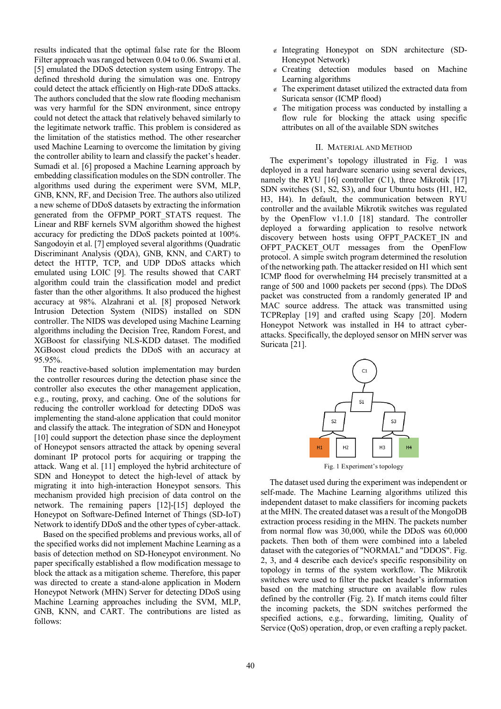results indicated that the optimal false rate for the Bloom Filter approach was ranged between 0.04 to 0.06. Swami et al. [5] emulated the DDoS detection system using Entropy. The defined threshold during the simulation was one. Entropy could detect the attack efficiently on High-rate DDoS attacks. The authors concluded that the slow rate flooding mechanism was very harmful for the SDN environment, since entropy could not detect the attack that relatively behaved similarly to the legitimate network traffic. This problem is considered as the limitation of the statistics method. The other researcher used Machine Learning to overcome the limitation by giving the controller ability to learn and classify the packet's header. Sumadi et al. [6] proposed a Machine Learning approach by embedding classification modules on the SDN controller. The algorithms used during the experiment were SVM, MLP, GNB, KNN, RF, and Decision Tree. The authors also utilized a new scheme of DDoS datasets by extracting the information generated from the OFPMP\_PORT\_STATS request. The Linear and RBF kernels SVM algorithm showed the highest accuracy for predicting the DDoS packets pointed at 100%. Sangodoyin et al. [7] employed several algorithms (Quadratic Discriminant Analysis (QDA), GNB, KNN, and CART) to detect the HTTP, TCP, and UDP DDoS attacks which emulated using LOIC [9]. The results showed that CART algorithm could train the classification model and predict faster than the other algorithms. It also produced the highest accuracy at 98%. Alzahrani et al. [8] proposed Network Intrusion Detection System (NIDS) installed on SDN controller. The NIDS was developed using Machine Learning algorithms including the Decision Tree, Random Forest, and XGBoost for classifying NLS-KDD dataset. The modified XGBoost cloud predicts the DDoS with an accuracy at 95.95%.

The reactive-based solution implementation may burden the controller resources during the detection phase since the controller also executes the other management application, e.g., routing, proxy, and caching. One of the solutions for reducing the controller workload for detecting DDoS was implementing the stand-alone application that could monitor and classify the attack. The integration of SDN and Honeypot [10] could support the detection phase since the deployment of Honeypot sensors attracted the attack by opening several dominant IP protocol ports for acquiring or trapping the attack. Wang et al. [11] employed the hybrid architecture of SDN and Honeypot to detect the high-level of attack by migrating it into high-interaction Honeypot sensors. This mechanism provided high precision of data control on the network. The remaining papers [12]-[15] deployed the Honeypot on Software-Defined Internet of Things (SD-IoT) Network to identify DDoS and the other types of cyber-attack.

Based on the specified problems and previous works, all of the specified works did not implement Machine Learning as a basis of detection method on SD-Honeypot environment. No paper specifically established a flow modification message to block the attack as a mitigation scheme. Therefore, this paper was directed to create a stand-alone application in Modern Honeypot Network (MHN) Server for detecting DDoS using Machine Learning approaches including the SVM, MLP, GNB, KNN, and CART. The contributions are listed as follows:

- Integrating Honeypot on SDN architecture (SD-Honeypot Network)
- $\epsilon$  Creating detection modules based on Machine Learning algorithms
- $\epsilon$  The experiment dataset utilized the extracted data from Suricata sensor (ICMP flood)
- $\epsilon$  The mitigation process was conducted by installing a flow rule for blocking the attack using specific attributes on all of the available SDN switches

## II. MATERIAL AND METHOD

The experiment's topology illustrated in Fig. 1 was deployed in a real hardware scenario using several devices, namely the RYU  $[16]$  controller (C1), three Mikrotik  $[17]$ SDN switches (S1, S2, S3), and four Ubuntu hosts (H1, H2, H3, H4). In default, the communication between RYU controller and the available Mikrotik switches was regulated by the OpenFlow v1.1.0 [18] standard. The controller deployed a forwarding application to resolve network discovery between hosts using OFPT\_PACKET\_IN and OFPT PACKET OUT messages from the OpenFlow protocol. A simple switch program determined the resolution of the networking path. The attacker resided on H1 which sent ICMP flood for overwhelming H4 precisely transmitted at a range of 500 and 1000 packets per second (pps). The DDoS packet was constructed from a randomly generated IP and MAC source address. The attack was transmitted using TCPReplay [19] and crafted using Scapy [20]. Modern Honeypot Network was installed in H4 to attract cyberattacks. Specifically, the deployed sensor on MHN server was Suricata [21].



Fig. 1 Experiment's topology

The dataset used during the experiment was independent or self-made. The Machine Learning algorithms utilized this independent dataset to make classifiers for incoming packets at the MHN. The created dataset was a result of the MongoDB extraction process residing in the MHN. The packets number from normal flow was 30,000, while the DDoS was 60,000 packets. Then both of them were combined into a labeled dataset with the categories of "NORMAL" and "DDOS". Fig. 2, 3, and 4 describe each device's specific responsibility on topology in terms of the system workflow. The Mikrotik switches were used to filter the packet header's information based on the matching structure on available flow rules defined by the controller (Fig. 2). If match items could filter the incoming packets, the SDN switches performed the specified actions, e.g., forwarding, limiting, Quality of Service (QoS) operation, drop, or even crafting a reply packet.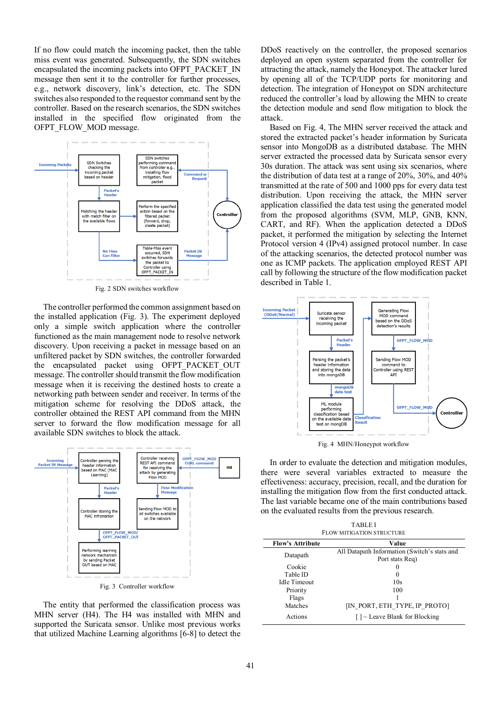If no flow could match the incoming packet, then the table miss event was generated. Subsequently, the SDN switches encapsulated the incoming packets into OFPT\_PACKET\_IN message then sent it to the controller for further processes, e.g., network discovery, link's detection, etc. The SDN switches also responded to the requestor command sent by the controller. Based on the research scenarios, the SDN switches installed in the specified flow originated from the OFPT\_FLOW\_MOD message.



Fig. 2 SDN switches workflow

The controller performed the common assignment based on the installed application (Fig. 3). The experiment deployed only a simple switch application where the controller functioned as the main management node to resolve network discovery. Upon receiving a packet in message based on an unfiltered packet by SDN switches, the controller forwarded the encapsulated packet using OFPT PACKET OUT message. The controller should transmit the flow modification message when it is receiving the destined hosts to create a networking path between sender and receiver. In terms of the mitigation scheme for resolving the DDoS attack, the controller obtained the REST API command from the MHN server to forward the flow modification message for all available SDN switches to block the attack.



The entity that performed the classification process was MHN server (H4). The H4 was installed with MHN and supported the Suricata sensor. Unlike most previous works that utilized Machine Learning algorithms [6-8] to detect the DDoS reactively on the controller, the proposed scenarios deployed an open system separated from the controller for attracting the attack, namely the Honeypot. The attacker lured by opening all of the TCP/UDP ports for monitoring and detection. The integration of Honeypot on SDN architecture reduced the controller's load by allowing the MHN to create the detection module and send flow mitigation to block the attack.

Based on Fig. 4, The MHN server received the attack and stored the extracted packet's header information by Suricata sensor into MongoDB as a distributed database. The MHN server extracted the processed data by Suricata sensor every 30s duration. The attack was sent using six scenarios, where the distribution of data test at a range of 20%, 30%, and 40% transmitted at the rate of 500 and 1000 pps for every data test distribution. Upon receiving the attack, the MHN server application classified the data test using the generated model from the proposed algorithms (SVM, MLP, GNB, KNN, CART, and RF). When the application detected a DDoS packet, it performed the mitigation by selecting the Internet Protocol version 4 (IPv4) assigned protocol number. In case of the attacking scenarios, the detected protocol number was one as ICMP packets. The application employed REST API call by following the structure of the flow modification packet described in Table 1.



Fig. 4 MHN/Honeypot workflow

In order to evaluate the detection and mitigation modules, there were several variables extracted to measure the effectiveness: accuracy, precision, recall, and the duration for installing the mitigation flow from the first conducted attack. The last variable became one of the main contributions based on the evaluated results from the previous research.

| <b>TABLEI</b><br>FLOW MITIGATION STRUCTURE |                                                  |  |  |
|--------------------------------------------|--------------------------------------------------|--|--|
| <b>Flow's Attribute</b>                    | Value                                            |  |  |
| Datapath                                   | All Datapath Information (Switch's stats and     |  |  |
|                                            | Port stats Req)                                  |  |  |
| Cookie                                     | $\mathbf{\Omega}$                                |  |  |
| Table ID<br>$\theta$                       |                                                  |  |  |
| Idle Timeout                               | 10s                                              |  |  |
| Priority                                   | 100                                              |  |  |
| Flags                                      |                                                  |  |  |
| Matches                                    | [IN PORT, ETH TYPE, IP PROTO]                    |  |  |
| Actions                                    | $\lceil \cdot \rceil$ - Leave Blank for Blocking |  |  |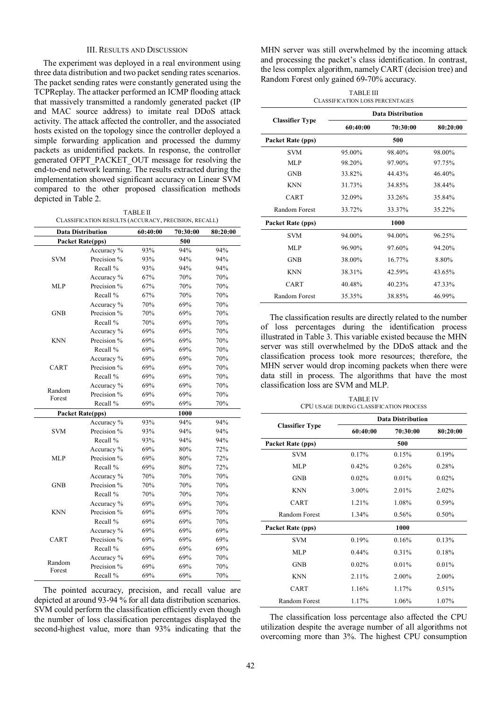# III. RESULTS AND DISCUSSION

The experiment was deployed in a real environment using three data distribution and two packet sending rates scenarios. The packet sending rates were constantly generated using the TCPReplay. The attacker performed an ICMP flooding attack that massively transmitted a randomly generated packet (IP and MAC source address) to imitate real DDoS attack activity. The attack affected the controller, and the associated hosts existed on the topology since the controller deployed a simple forwarding application and processed the dummy packets as unidentified packets. In response, the controller generated OFPT\_PACKET\_OUT message for resolving the end-to-end network learning. The results extracted during the implementation showed significant accuracy on Linear SVM compared to the other proposed classification methods depicted in Table 2.

TABLE II CLASSIFICATION RESULTS (ACCURACY, PRECISION, RECALL)

|                  | <b>Data Distribution</b> | 60:40:00 | 70:30:00 | 80:20:00 |
|------------------|--------------------------|----------|----------|----------|
|                  | Packet Rate(pps)         |          | 500      |          |
|                  | Accuracy %               | 93%      | 94%      | 94%      |
| <b>SVM</b>       | Precision %              | 93%      | 94%      | 94%      |
|                  | Recall %                 | 93%      | 94%      | 94%      |
|                  | Accuracy %               | 67%      | 70%      | 70%      |
| <b>MLP</b>       | Precision %              | 67%      | 70%      | 70%      |
|                  | Recall %                 | 67%      | 70%      | 70%      |
|                  | Accuracy %               | 70%      | 69%      | 70%      |
| GNB              | Precision %              | 70%      | 69%      | 70%      |
|                  | Recall %                 | 70%      | 69%      | 70%      |
|                  | Accuracy %               | 69%      | 69%      | 70%      |
| KNN              | Precision %              | 69%      | 69%      | 70%      |
|                  | Recall %                 | 69%      | 69%      | 70%      |
|                  | Accuracy %               | 69%      | 69%      | 70%      |
| CART             | Precision %              | 69%      | 69%      | 70%      |
|                  | Recall %                 | 69%      | 69%      | 70%      |
|                  | Accuracy %               | 69%      | 69%      | 70%      |
| Random<br>Forest | Precision %              | 69%      | 69%      | 70%      |
|                  | Recall %                 | 69%      | 69%      | 70%      |
|                  | Packet Rate(pps)         |          | 1000     |          |
|                  | Accuracy %               | 93%      | 94%      | 94%      |
| <b>SVM</b>       | Precision %              | 93%      | 94%      | 94%      |
|                  | Recall %                 | 93%      | 94%      | 94%      |
|                  | Accuracy %               | 69%      | 80%      | 72%      |
| <b>MLP</b>       | Precision %              | 69%      | 80%      | 72%      |
|                  | Recall %                 | 69%      | 80%      | 72%      |
|                  | Accuracy %               | 70%      | 70%      | 70%      |
| <b>GNB</b>       | Precision %              | 70%      | 70%      | 70%      |
|                  | Recall %                 | 70%      | 70%      | 70%      |
|                  | Accuracy %               | 69%      | 69%      | 70%      |
| KNN              | Precision %              | 69%      | 69%      | 70%      |
|                  | Recall %                 | 69%      | 69%      | 70%      |
|                  | Accuracy %               | 69%      | 69%      | 69%      |
| CART             | Precision %              | 69%      | 69%      | 69%      |
|                  | Recall %                 | 69%      | 69%      | 69%      |
|                  | Accuracy %               | 69%      | 69%      | 70%      |
| Random<br>Forest | Precision %              | 69%      | 69%      | 70%      |
|                  | Recall %                 | 69%      | 69%      | 70%      |

The pointed accuracy, precision, and recall value are depicted at around 93-94 % for all data distribution scenarios. SVM could perform the classification efficiently even though the number of loss classification percentages displayed the second-highest value, more than 93% indicating that the MHN server was still overwhelmed by the incoming attack and processing the packet's class identification. In contrast, the less complex algorithm, namely CART (decision tree) and Random Forest only gained 69-70% accuracy.

|                        | TABLE III<br><b>CLASSIFICATION LOSS PERCENTAGES</b> |                          |          |  |
|------------------------|-----------------------------------------------------|--------------------------|----------|--|
|                        |                                                     | <b>Data Distribution</b> |          |  |
| <b>Classifier Type</b> | 60:40:00                                            | 70:30:00                 | 80:20:00 |  |
| Packet Rate (pps)      |                                                     | 500                      |          |  |
| <b>SVM</b>             | 95.00%                                              | 98.40%                   | 98.00%   |  |
| MLP                    | 98.20%                                              | 97.90%                   | 97.75%   |  |
| <b>GNB</b>             | 33.82%                                              | 44.43%                   | 46.40%   |  |
| <b>KNN</b>             | 31.73%                                              | 34.85%                   | 38.44%   |  |
| CART                   | 32.09%                                              | 33.26%                   | 35.84%   |  |
| Random Forest          | 33.72%                                              | 33.37%                   | 35.22%   |  |
| Packet Rate (pps)      |                                                     | 1000                     |          |  |
| <b>SVM</b>             | 94.00%                                              | 94.00%                   | 96.25%   |  |
| MLP                    | 96.90%                                              | 97.60%                   | 94.20%   |  |
| <b>GNB</b>             | 38.00%                                              | 16.77%                   | 8.80%    |  |
| <b>KNN</b>             | 38.31%                                              | 42.59%                   | 43.65%   |  |
| CART                   | 40.48%                                              | 40.23%                   | 47.33%   |  |
| Random Forest          | 35.35%                                              | 38.85%                   | 46.99%   |  |

The classification results are directly related to the number of loss percentages during the identification process illustrated in Table 3. This variable existed because the MHN server was still overwhelmed by the DDoS attack and the classification process took more resources; therefore, the MHN server would drop incoming packets when there were data still in process. The algorithms that have the most classification loss are SVM and MLP.

|                        | <b>TABLE IV</b><br>CPU USAGE DURING CLASSIFICATION PROCESS | 70:30:00<br>80:20:00<br>500<br>0.15%<br>0.19%<br>0.28%<br>$0.26\%$<br>$0.01\%$<br>$0.02\%$<br>$2.01\%$<br>2.02%<br>1.08%<br>$0.59\%$ |          |  |
|------------------------|------------------------------------------------------------|--------------------------------------------------------------------------------------------------------------------------------------|----------|--|
|                        | <b>Data Distribution</b>                                   |                                                                                                                                      |          |  |
| <b>Classifier Type</b> | 60:40:00                                                   |                                                                                                                                      |          |  |
| Packet Rate (pps)      |                                                            |                                                                                                                                      |          |  |
| <b>SVM</b>             | $0.17\%$                                                   |                                                                                                                                      |          |  |
| MLP                    | 0.42%                                                      |                                                                                                                                      |          |  |
| <b>GNB</b>             | $0.02\%$                                                   |                                                                                                                                      |          |  |
| <b>KNN</b>             | 3.00%                                                      |                                                                                                                                      |          |  |
| CART                   | 1.21%                                                      |                                                                                                                                      |          |  |
| Random Forest          | 1.34%                                                      | 0.56%                                                                                                                                | $0.50\%$ |  |
| Packet Rate (pps)      |                                                            | 1000                                                                                                                                 |          |  |
| <b>SVM</b>             | 0.19%                                                      | 0.16%                                                                                                                                | 0.13%    |  |

| The classification loss percentage also affected the CPU<br>tilization despite the average number of all algorithms not |       |       |       |
|-------------------------------------------------------------------------------------------------------------------------|-------|-------|-------|
| Random Forest                                                                                                           | 1.17% | 1.06% | 1.07% |
| CART                                                                                                                    | 1.16% | 1.17% | 0.51% |
| <b>KNN</b>                                                                                                              | 2.11% | 2.00% | 2.00% |
| <b>GNB</b>                                                                                                              | 0.02% | 0.01% | 0.01% |

MLP 0.44% 0.31% 0.18%

utilization despite the average number of all algorithms not overcoming more than 3%. The highest CPU consumption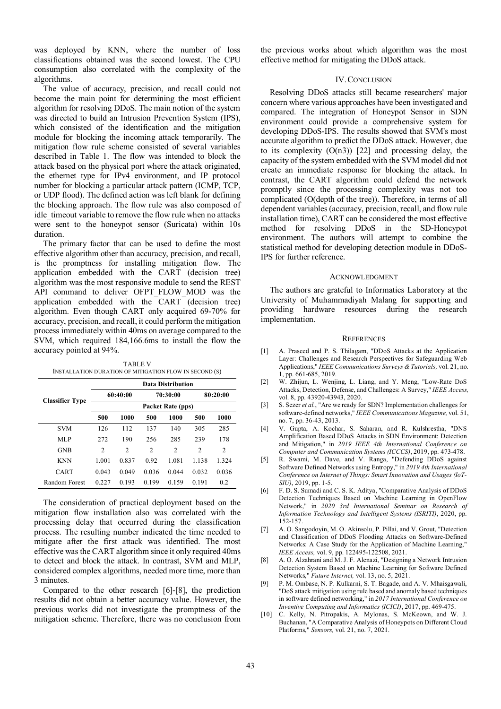was deployed by KNN, where the number of loss classifications obtained was the second lowest. The CPU consumption also correlated with the complexity of the algorithms.

The value of accuracy, precision, and recall could not become the main point for determining the most efficient algorithm for resolving DDoS. The main notion of the system was directed to build an Intrusion Prevention System (IPS), which consisted of the identification and the mitigation module for blocking the incoming attack temporarily. The mitigation flow rule scheme consisted of several variables described in Table 1. The flow was intended to block the attack based on the physical port where the attack originated, the ethernet type for IPv4 environment, and IP protocol number for blocking a particular attack pattern (ICMP, TCP, or UDP flood). The defined action was left blank for defining the blocking approach. The flow rule was also composed of idle timeout variable to remove the flow rule when no attacks were sent to the honeypot sensor (Suricata) within 10s duration.

The primary factor that can be used to define the most effective algorithm other than accuracy, precision, and recall, is the promptness for installing mitigation flow. The application embedded with the CART (decision tree) algorithm was the most responsive module to send the REST API command to deliver OFPT FLOW MOD was the application embedded with the  $CART$  (decision tree) algorithm. Even though CART only acquired 69-70% for accuracy, precision, and recall, it could perform the mitigation process immediately within 40ms on average compared to the SVM, which required 184,166.6ms to install the flow the accuracy pointed at 94%.

|                        | <b>Data Distribution</b> |                |                |                |                |                |
|------------------------|--------------------------|----------------|----------------|----------------|----------------|----------------|
|                        |                          | 60:40:00       |                | 70:30:00       |                | 80:20:00       |
| <b>Classifier Type</b> | Packet Rate (pps)        |                |                |                |                |                |
|                        | 500                      | 1000           | 500            | 1000           | 500            | 1000           |
| <b>SVM</b>             | 126                      | 112            | 137            | 140            | 305            | 285            |
| MLP                    | 272                      | 190            | 256            | 285            | 239            | 178            |
| <b>GNB</b>             | 2                        | $\overline{c}$ | $\overline{c}$ | $\overline{c}$ | $\overline{c}$ | $\overline{c}$ |
| <b>KNN</b>             | 1.001                    | 0.837          | 0.92           | 1.081          | 1.138          | 1.324          |
| CART                   | 0.043                    | 0.049          | 0.036          | 0.044          | 0.032          | 0.036          |
| Random Forest          | 0.227                    | 0.193          | 0.199          | 0.159          | 0.191          | 0.2            |

TABLE V INSTALLATION DURATION OF MITIGATION FLOW IN SECOND (S)

The consideration of practical deployment based on the mitigation flow installation also was correlated with the processing delay that occurred during the classification process. The resulting number indicated the time needed to mitigate after the first attack was identified. The most effective was the CART algorithm since it only required 40ms to detect and block the attack. In contrast, SVM and MLP, considered complex algorithms, needed more time, more than 3 minutes.

Compared to the other research [6]-[8], the prediction results did not obtain a better accuracy value. However, the previous works did not investigate the promptness of the mitigation scheme. Therefore, there was no conclusion from the previous works about which algorithm was the most effective method for mitigating the DDoS attack.

# IV.CONCLUSION

Resolving DDoS attacks still became researchers' major concern where various approaches have been investigated and compared. The integration of Honeypot Sensor in SDN environment could provide a comprehensive system for developing DDoS-IPS. The results showed that SVM's most accurate algorithm to predict the DDoS attack. However, due to its complexity  $(O(n3))$  [22] and processing delay, the capacity of the system embedded with the SVM model did not create an immediate response for blocking the attack. In contrast, the CART algorithm could defend the network promptly since the processing complexity was not too complicated (O(depth of the tree)). Therefore, in terms of all dependent variables (accuracy, precision, recall, and flow rule installation time), CART can be considered the most effective method for resolving DDoS in the SD-Honeypot environment. The authors will attempt to combine the statistical method for developing detection module in DDoS-IPS for further reference.

### ACKNOWLEDGMENT

The authors are grateful to Informatics Laboratory at the University of Muhammadiyah Malang for supporting and providing hardware resources during the research implementation.

#### **REFERENCES**

- [1] A. Praseed and P. S. Thilagam, "DDoS Attacks at the Application Layer: Challenges and Research Perspectives for Safeguarding Web Applications," *IEEE Communications Surveys & Tutorials,* vol. 21, no. 1, pp. 661-685, 2019.
- [2] W. Zhijun, L. Wenjing, L. Liang, and Y. Meng, "Low-Rate DoS Attacks, Detection, Defense, and Challenges: A Survey," *IEEE Access,*  vol. 8, pp. 43920-43943, 2020.
- [3] S. Sezer *et al.*, "Are we ready for SDN? Implementation challenges for software-defined networks," *IEEE Communications Magazine,* vol. 51, no. 7, pp. 36-43, 2013.
- [4] V. Gupta, A. Kochar, S. Saharan, and R. Kulshrestha, "DNS Amplification Based DDoS Attacks in SDN Environment: Detection and Mitigation," in *2019 IEEE 4th International Conference on Computer and Communication Systems (ICCCS)*, 2019, pp. 473-478.
- [5] R. Swami, M. Dave, and V. Ranga, "Defending DDoS against Software Defined Networks using Entropy," in *2019 4th International Conference on Internet of Things: Smart Innovation and Usages (IoT-SIU)*, 2019, pp. 1-5.
- [6] F. D. S. Sumadi and C. S. K. Aditya, "Comparative Analysis of DDoS Detection Techniques Based on Machine Learning in OpenFlow Network," in *2020 3rd International Seminar on Research of Information Technology and Intelligent Systems (ISRITI)*, 2020, pp. 152-157.
- [7] A. O. Sangodoyin, M. O. Akinsolu, P. Pillai, and V. Grout, "Detection and Classification of DDoS Flooding Attacks on Software-Defined Networks: A Case Study for the Application of Machine Learning," *IEEE Access,* vol. 9, pp. 122495-122508, 2021.
- [8] A. O. Alzahrani and M. J. F. Alenazi, "Designing a Network Intrusion Detection System Based on Machine Learning for Software Defined Networks," *Future Internet,* vol. 13, no. 5, 2021.
- [9] P. M. Ombase, N. P. Kulkarni, S. T. Bagade, and A. V. Mhaisgawali, "DoS attack mitigation using rule based and anomaly based techniques in software defined networking," in *2017 International Conference on Inventive Computing and Informatics (ICICI)*, 2017, pp. 469-475.
- [10] C. Kelly, N. Pitropakis, A. Mylonas, S. McKeown, and W. J. Buchanan, "A Comparative Analysis of Honeypots on Different Cloud Platforms," *Sensors,* vol. 21, no. 7, 2021.